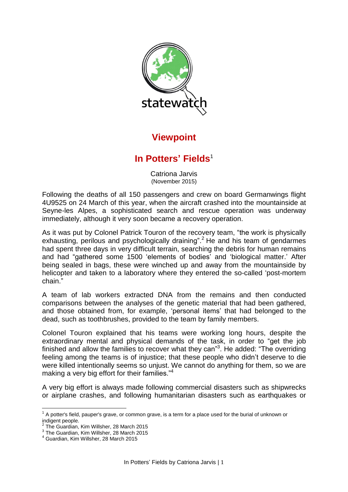

## **Viewpoint**

## **In Potters' Fields**<sup>1</sup>

Catriona Jarvis (November 2015)

Following the deaths of all 150 passengers and crew on board Germanwings flight 4U9525 on 24 March of this year, when the aircraft crashed into the mountainside at Seyne-les Alpes, a sophisticated search and rescue operation was underway immediately, although it very soon became a recovery operation.

As it was put by Colonel Patrick Touron of the recovery team, "the work is physically exhausting, perilous and psychologically draining".<sup>2</sup> He and his team of gendarmes had spent three days in very difficult terrain, searching the debris for human remains and had "gathered some 1500 'elements of bodies' and 'biological matter.' After being sealed in bags, these were winched up and away from the mountainside by helicopter and taken to a laboratory where they entered the so-called 'post-mortem chain."

A team of lab workers extracted DNA from the remains and then conducted comparisons between the analyses of the genetic material that had been gathered, and those obtained from, for example, 'personal items' that had belonged to the dead, such as toothbrushes, provided to the team by family members.

Colonel Touron explained that his teams were working long hours, despite the extraordinary mental and physical demands of the task, in order to "get the job finished and allow the families to recover what they can"<sup>3</sup>. He added: "The overriding feeling among the teams is of injustice; that these people who didn't deserve to die were killed intentionally seems so unjust. We cannot do anything for them, so we are making a very big effort for their families."<sup>4</sup>

A very big effort is always made following commercial disasters such as shipwrecks or airplane crashes, and following humanitarian disasters such as earthquakes or

 $\overline{a}$ 

 $^1$  A potter's field, pauper's grave, or common grave, is a term for a place used for the burial of unknown or indigent people.<br><sup>2</sup> The Cuerdian

The Guardian, Kim Willsher, 28 March 2015

 $^3$  The Guardian, Kim Willsher, 28 March 2015

<sup>4</sup> Guardian, Kim Willsher, 28 March 2015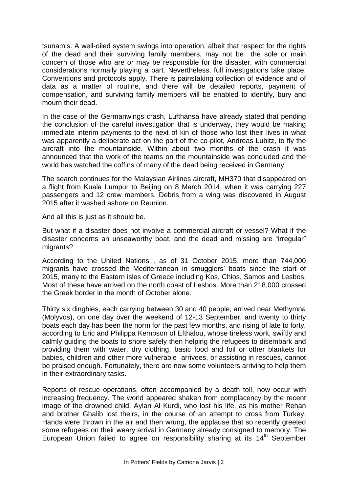tsunamis. A well-oiled system swings into operation, albeit that respect for the rights of the dead and their surviving family members, may not be the sole or main concern of those who are or may be responsible for the disaster, with commercial considerations normally playing a part. Nevertheless, full investigations take place. Conventions and protocols apply. There is painstaking collection of evidence and of data as a matter of routine, and there will be detailed reports, payment of compensation, and surviving family members will be enabled to identify, bury and mourn their dead.

In the case of the Germanwings crash, Lufthansa have already stated that pending the conclusion of the careful investigation that is underway, they would be making immediate interim payments to the next of kin of those who lost their lives in what was apparently a deliberate act on the part of the co-pilot, Andreas Lubitz, to fly the aircraft into the mountainside. Within about two months of the crash it was announced that the work of the teams on the mountainside was concluded and the world has watched the coffins of many of the dead being received in Germany.

The search continues for the Malaysian Airlines aircraft, MH370 that disappeared on a flight from Kuala Lumpur to Beijing on 8 March 2014, when it was carrying 227 passengers and 12 crew members. Debris from a wing was discovered in August 2015 after it washed ashore on Reunion.

And all this is just as it should be.

But what if a disaster does not involve a commercial aircraft or vessel? What if the disaster concerns an unseaworthy boat, and the dead and missing are "irregular" migrants?

According to the United Nations , as of 31 October 2015, more than 744,000 migrants have crossed the Mediterranean in smugglers' boats since the start of 2015, many to the Eastern isles of Greece including Kos, Chios, Samos and Lesbos. Most of these have arrived on the north coast of Lesbos. More than 218,000 crossed the Greek border in the month of October alone.

Thirty six dinghies, each carrying between 30 and 40 people, arrived near Methymna (Molyvos), on one day over the weekend of 12-13 September, and twenty to thirty boats each day has been the norm for the past few months, and rising of late to forty, according to Eric and Philippa Kempson of Efthalou, whose tireless work, swiftly and calmly guiding the boats to shore safely then helping the refugees to disembark and providing them with water, dry clothing, basic food and foil or other blankets for babies, children and other more vulnerable arrivees, or assisting in rescues, cannot be praised enough. Fortunately, there are now some volunteers arriving to help them in their extraordinary tasks.

Reports of rescue operations, often accompanied by a death toll, now occur with increasing frequency. The world appeared shaken from complacency by the recent image of the drowned child, Aylan Al Kurdi, who lost his life, as his mother Rehan and brother Ghalib lost theirs, in the course of an attempt to cross from Turkey. Hands were thrown in the air and then wrung, the applause that so recently greeted some refugees on their weary arrival in Germany already consigned to memory. The European Union failed to agree on responsibility sharing at its 14<sup>th</sup> September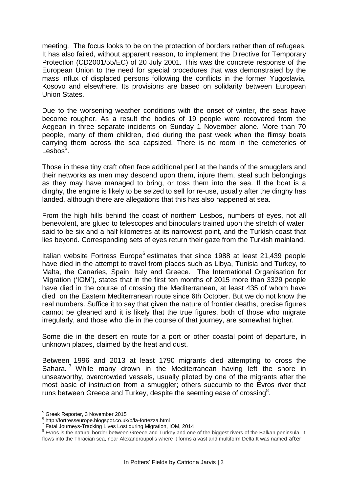meeting. The focus looks to be on the protection of borders rather than of refugees. It has also failed, without apparent reason, to implement the Directive for Temporary Protection (CD2001/55/EC) of 20 July 2001. This was the concrete response of the European Union to the need for special procedures that was demonstrated by the mass influx of displaced persons following the conflicts in the former Yugoslavia, Kosovo and elsewhere. Its provisions are based on solidarity between European Union States.

Due to the worsening weather conditions with the onset of winter, the seas have become rougher. As a result the bodies of 19 people were recovered from the Aegean in three separate incidents on Sunday 1 November alone. More than 70 people, many of them children, died during the past week when the flimsy boats carrying them across the sea capsized. There is no room in the cemeteries of Lesbos $5$ .

Those in these tiny craft often face additional peril at the hands of the smugglers and their networks as men may descend upon them, injure them, steal such belongings as they may have managed to bring, or toss them into the sea. If the boat is a dinghy, the engine is likely to be seized to sell for re-use, usually after the dinghy has landed, although there are allegations that this has also happened at sea.

From the high hills behind the coast of northern Lesbos, numbers of eyes, not all benevolent, are glued to telescopes and binoculars trained upon the stretch of water, said to be six and a half kilometres at its narrowest point, and the Turkish coast that lies beyond. Corresponding sets of eyes return their gaze from the Turkish mainland.

Italian website Fortress Europe<sup>6</sup> estimates that since 1988 at least 21,439 people have died in the attempt to travel from places such as Libya, Tunisia and Turkey, to Malta, the Canaries, Spain, Italy and Greece. The International Organisation for Migration ('IOM'), states that in the first ten months of 2015 more than 3329 people have died in the course of crossing the Mediterranean, at least 435 of whom have died on the Eastern Mediterranean route since 6th October. But we do not know the real numbers. Suffice it to say that given the nature of frontier deaths, precise figures cannot be gleaned and it is likely that the true figures, both of those who migrate irregularly, and those who die in the course of that journey, are somewhat higher.

Some die in the desert en route for a port or other coastal point of departure, in unknown places, claimed by the heat and dust.

Between 1996 and 2013 at least 1790 migrants died attempting to cross the Sahara. While many drown in the Mediterranean having left the shore in unseaworthy, overcrowded vessels, usually piloted by one of the migrants after the most basic of instruction from a smuggler; others succumb to the Evros river that runs between Greece and Turkey, despite the seeming ease of crossing<sup>8</sup>.

 $\overline{a}$ 

<sup>&</sup>lt;sup>5</sup> Greek Reporter, 3 November 2015

<sup>&</sup>lt;sup>6</sup> http://fortresseurope.blogspot.co.uk/p/la-fortezza.html<br><sup>7</sup> Estel Journove Tracking Lives Lost during Migretian

Fatal Journeys-Tracking Lives Lost during Migration, IOM, 2014

 $8$  Evros is the natural border between Greece and Turkey and one of the biggest rivers of the Balkan peninsula. It flows into the Thracian sea, near Alexandroupolis where it forms a vast and multiform Delta.It was named after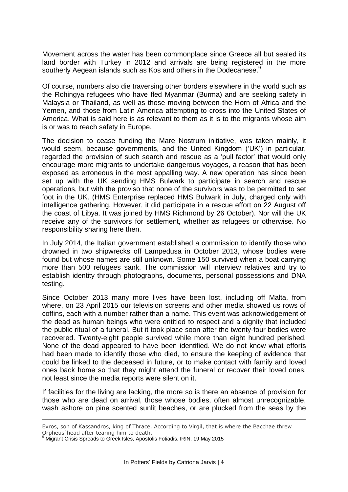Movement across the water has been commonplace since Greece all but sealed its land border with Turkey in 2012 and arrivals are being registered in the more southerly Aegean islands such as Kos and others in the Dodecanese.<sup>9</sup>

Of course, numbers also die traversing other borders elsewhere in the world such as the Rohingya refugees who have fled Myanmar (Burma) and are seeking safety in Malaysia or Thailand, as well as those moving between the Horn of Africa and the Yemen, and those from Latin America attempting to cross into the United States of America. What is said here is as relevant to them as it is to the migrants whose aim is or was to reach safety in Europe.

The decision to cease funding the Mare Nostrum initiative, was taken mainly, it would seem, because governments, and the United Kingdom ('UK') in particular, regarded the provision of such search and rescue as a 'pull factor' that would only encourage more migrants to undertake dangerous voyages, a reason that has been exposed as erroneous in the most appalling way. A new operation has since been set up with the UK sending HMS Bulwark to participate in search and rescue operations, but with the proviso that none of the survivors was to be permitted to set foot in the UK. (HMS Enterprise replaced HMS Bulwark in July, charged only with intelligence gathering. However, it did participate in a rescue effort on 22 August off the coast of Libya. It was joined by HMS Richmond by 26 October). Nor will the UK receive any of the survivors for settlement, whether as refugees or otherwise. No responsibility sharing here then.

In July 2014, the Italian government established a commission to identify those who drowned in two shipwrecks off Lampedusa in October 2013, whose bodies were found but whose names are still unknown. Some 150 survived when a boat carrying more than 500 refugees sank. The commission will interview relatives and try to establish identity through photographs, documents, personal possessions and DNA testing.

Since October 2013 many more lives have been lost, including off Malta, from where, on 23 April 2015 our television screens and other media showed us rows of coffins, each with a number rather than a name. This event was acknowledgement of the dead as human beings who were entitled to respect and a dignity that included the public ritual of a funeral. But it took place soon after the twenty-four bodies were recovered. Twenty-eight people survived while more than eight hundred perished. None of the dead appeared to have been identified. We do not know what efforts had been made to identify those who died, to ensure the keeping of evidence that could be linked to the deceased in future, or to make contact with family and loved ones back home so that they might attend the funeral or recover their loved ones, not least since the media reports were silent on it.

If facilities for the living are lacking, the more so is there an absence of provision for those who are dead on arrival, those whose bodies, often almost unrecognizable, wash ashore on pine scented sunlit beaches, or are plucked from the seas by the

 $\overline{a}$ 

Evros, son of Kassandros, king of Thrace. According to Virgil, that is where the Bacchae threw Orpheus' head after tearing him to death.

<sup>&</sup>lt;sup>9</sup> Migrant Crisis Spreads to Greek Isles, Apostolis Fotiadis, IRIN, 19 May 2015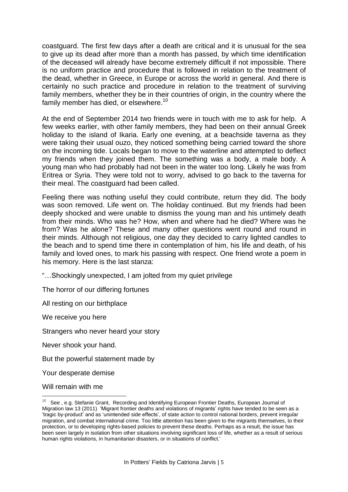coastguard. The first few days after a death are critical and it is unusual for the sea to give up its dead after more than a month has passed, by which time identification of the deceased will already have become extremely difficult if not impossible. There is no uniform practice and procedure that is followed in relation to the treatment of the dead, whether in Greece, in Europe or across the world in general. And there is certainly no such practice and procedure in relation to the treatment of surviving family members, whether they be in their countries of origin, in the country where the family member has died, or elsewhere.<sup>10</sup>

At the end of September 2014 two friends were in touch with me to ask for help. A few weeks earlier, with other family members, they had been on their annual Greek holiday to the island of Ikaria. Early one evening, at a beachside taverna as they were taking their usual ouzo, they noticed something being carried toward the shore on the incoming tide. Locals began to move to the waterline and attempted to deflect my friends when they joined them. The something was a body, a male body. A young man who had probably had not been in the water too long. Likely he was from Eritrea or Syria. They were told not to worry, advised to go back to the taverna for their meal. The coastguard had been called.

Feeling there was nothing useful they could contribute, return they did. The body was soon removed. Life went on. The holiday continued. But my friends had been deeply shocked and were unable to dismiss the young man and his untimely death from their minds. Who was he? How, when and where had he died? Where was he from? Was he alone? These and many other questions went round and round in their minds. Although not religious, one day they decided to carry lighted candles to the beach and to spend time there in contemplation of him, his life and death, of his family and loved ones, to mark his passing with respect. One friend wrote a poem in his memory. Here is the last stanza:

"…Shockingly unexpected, I am jolted from my quiet privilege

The horror of our differing fortunes

All resting on our birthplace

We receive you here

Strangers who never heard your story

Never shook your hand.

But the powerful statement made by

Your desperate demise

Will remain with me

<sup>&</sup>lt;u>nesseed to concernal</u><br><sup>10</sup> See , e.g. Stefanie Grant, Recording and Identifying European Frontier Deaths, European Journal of Migration law 13 (2011) 'Migrant frontier deaths and violations of migrants' rights have tended to be seen as a 'tragic by-product' and as 'unintended side effects', of state action to control national borders, prevent irregular migration, and combat international crime. Too little attention has been given to the migrants themselves, to their protection, or to developing rights-based policies to prevent these deaths. Perhaps as a result, the issue has been seen largely in isolation from other situations involving significant loss of life, whether as a result of serious human rights violations, in humanitarian disasters, or in situations of conflict.'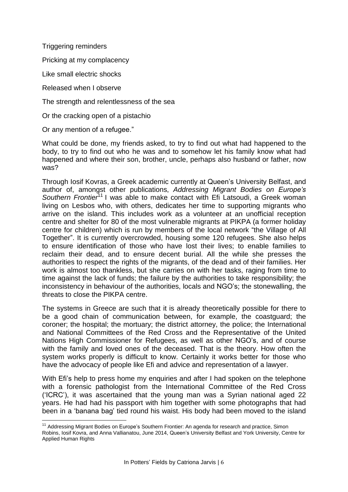Triggering reminders

Pricking at my complacency

Like small electric shocks

Released when I observe

The strength and relentlessness of the sea

Or the cracking open of a pistachio

Or any mention of a refugee."

 $\overline{a}$ 

What could be done, my friends asked, to try to find out what had happened to the body, to try to find out who he was and to somehow let his family know what had happened and where their son, brother, uncle, perhaps also husband or father, now was?

Through Iosif Kovras, a Greek academic currently at Queen's University Belfast, and author of, amongst other publications, *Addressing Migrant Bodies on Europe's Southern Frontier*<sup>11</sup> I was able to make contact with Efi Latsoudi, a Greek woman living on Lesbos who, with others, dedicates her time to supporting migrants who arrive on the island. This includes work as a volunteer at an unofficial reception centre and shelter for 80 of the most vulnerable migrants at PIKPA (a former holiday centre for children) which is run by members of the local network "the Village of All Together". It is currently overcrowded, housing some 120 refugees. She also helps to ensure identification of those who have lost their lives; to enable families to reclaim their dead, and to ensure decent burial. All the while she presses the authorities to respect the rights of the migrants, of the dead and of their families. Her work is almost too thankless, but she carries on with her tasks, raging from time to time against the lack of funds; the failure by the authorities to take responsibility; the inconsistency in behaviour of the authorities, locals and NGO's; the stonewalling, the threats to close the PIKPA centre.

The systems in Greece are such that it is already theoretically possible for there to be a good chain of communication between, for example, the coastguard; the coroner; the hospital; the mortuary; the district attorney, the police; the International and National Committees of the Red Cross and the Representative of the United Nations High Commissioner for Refugees, as well as other NGO's, and of course with the family and loved ones of the deceased. That is the theory. How often the system works properly is difficult to know. Certainly it works better for those who have the advocacy of people like Efi and advice and representation of a lawyer.

With Efi's help to press home my enquiries and after I had spoken on the telephone with a forensic pathologist from the International Committee of the Red Cross ('ICRC'), it was ascertained that the young man was a Syrian national aged 22 years. He had had his passport with him together with some photographs that had been in a 'banana bag' tied round his waist. His body had been moved to the island

<sup>&</sup>lt;sup>11</sup> Addressing Migrant Bodies on Europe's Southern Frontier: An agenda for research and practice, Simon Robins, Iosif Kovra, and Anna Vallianatou, June 2014, Queen's University Belfast and York University, Centre for Applied Human Rights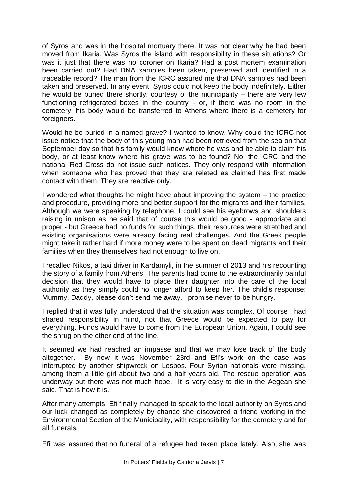of Syros and was in the hospital mortuary there. It was not clear why he had been moved from Ikaria. Was Syros the island with responsibility in these situations? Or was it just that there was no coroner on Ikaria? Had a post mortem examination been carried out? Had DNA samples been taken, preserved and identified in a traceable record? The man from the ICRC assured me that DNA samples had been taken and preserved. In any event, Syros could not keep the body indefinitely. Either he would be buried there shortly, courtesy of the municipality – there are very few functioning refrigerated boxes in the country - or, if there was no room in the cemetery, his body would be transferred to Athens where there is a cemetery for foreigners.

Would he be buried in a named grave? I wanted to know. Why could the ICRC not issue notice that the body of this young man had been retrieved from the sea on that September day so that his family would know where he was and be able to claim his body, or at least know where his grave was to be found? No, the ICRC and the national Red Cross do not issue such notices. They only respond with information when someone who has proved that they are related as claimed has first made contact with them. They are reactive only.

I wondered what thoughts he might have about improving the system – the practice and procedure, providing more and better support for the migrants and their families. Although we were speaking by telephone, I could see his eyebrows and shoulders raising in unison as he said that of course this would be good - appropriate and proper - but Greece had no funds for such things, their resources were stretched and existing organisations were already facing real challenges. And the Greek people might take it rather hard if more money were to be spent on dead migrants and their families when they themselves had not enough to live on.

I recalled Nikos, a taxi driver in Kardamyli, in the summer of 2013 and his recounting the story of a family from Athens. The parents had come to the extraordinarily painful decision that they would have to place their daughter into the care of the local authority as they simply could no longer afford to keep her. The child's response: Mummy, Daddy, please don't send me away. I promise never to be hungry.

I replied that it was fully understood that the situation was complex. Of course I had shared responsibility in mind, not that Greece would be expected to pay for everything. Funds would have to come from the European Union. Again, I could see the shrug on the other end of the line.

It seemed we had reached an impasse and that we may lose track of the body altogether. By now it was November 23rd and Efi's work on the case was interrupted by another shipwreck on Lesbos. Four Syrian nationals were missing, among them a little girl about two and a half years old. The rescue operation was underway but there was not much hope. It is very easy to die in the Aegean she said. That is how it is.

After many attempts, Efi finally managed to speak to the local authority on Syros and our luck changed as completely by chance she discovered a friend working in the Environmental Section of the Municipality, with responsibility for the cemetery and for all funerals.

Efi was assured that no funeral of a refugee had taken place lately. Also, she was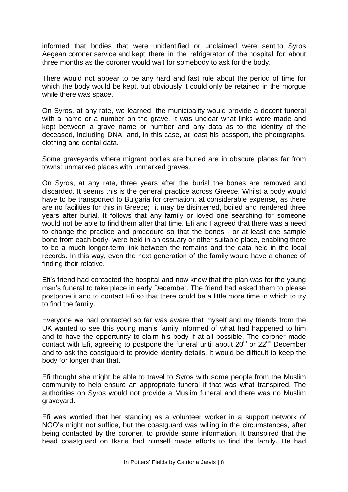informed that bodies that were unidentified or unclaimed were sent to Syros Aegean coroner service and kept there in the refrigerator of the hospital for about three months as the coroner would wait for somebody to ask for the body.

There would not appear to be any hard and fast rule about the period of time for which the body would be kept, but obviously it could only be retained in the morgue while there was space.

On Syros, at any rate, we learned, the municipality would provide a decent funeral with a name or a number on the grave. It was unclear what links were made and kept between a grave name or number and any data as to the identity of the deceased, including DNA, and, in this case, at least his passport, the photographs, clothing and dental data.

Some graveyards where migrant bodies are buried are in obscure places far from towns: unmarked places with unmarked graves.

On Syros, at any rate, three years after the burial the bones are removed and discarded. It seems this is the general practice across Greece. Whilst a body would have to be transported to Bulgaria for cremation, at considerable expense, as there are no facilities for this in Greece; it may be disinterred, boiled and rendered three years after burial. It follows that any family or loved one searching for someone would not be able to find them after that time. Efi and I agreed that there was a need to change the practice and procedure so that the bones - or at least one sample bone from each body- were held in an ossuary or other suitable place, enabling there to be a much longer-term link between the remains and the data held in the local records. In this way, even the next generation of the family would have a chance of finding their relative.

Efi's friend had contacted the hospital and now knew that the plan was for the young man's funeral to take place in early December. The friend had asked them to please postpone it and to contact Efi so that there could be a little more time in which to try to find the family.

Everyone we had contacted so far was aware that myself and my friends from the UK wanted to see this young man's family informed of what had happened to him and to have the opportunity to claim his body if at all possible. The coroner made contact with Efi, agreeing to postpone the funeral until about  $20<sup>th</sup>$  or  $22<sup>nd</sup>$  December and to ask the coastguard to provide identity details. It would be difficult to keep the body for longer than that.

Efi thought she might be able to travel to Syros with some people from the Muslim community to help ensure an appropriate funeral if that was what transpired. The authorities on Syros would not provide a Muslim funeral and there was no Muslim graveyard.

Efi was worried that her standing as a volunteer worker in a support network of NGO's might not suffice, but the coastguard was willing in the circumstances, after being contacted by the coroner, to provide some information. It transpired that the head coastguard on Ikaria had himself made efforts to find the family. He had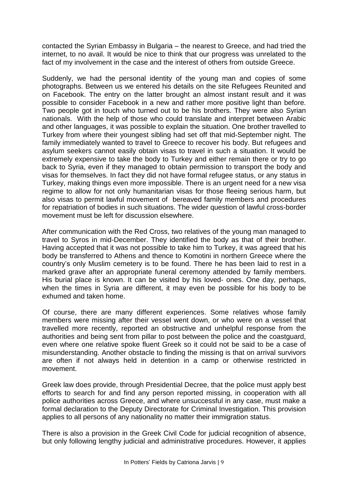contacted the Syrian Embassy in Bulgaria – the nearest to Greece, and had tried the internet, to no avail. It would be nice to think that our progress was unrelated to the fact of my involvement in the case and the interest of others from outside Greece.

Suddenly, we had the personal identity of the young man and copies of some photographs. Between us we entered his details on the site Refugees Reunited and on Facebook. The entry on the latter brought an almost instant result and it was possible to consider Facebook in a new and rather more positive light than before. Two people got in touch who turned out to be his brothers. They were also Syrian nationals. With the help of those who could translate and interpret between Arabic and other languages, it was possible to explain the situation. One brother travelled to Turkey from where their youngest sibling had set off that mid-September night. The family immediately wanted to travel to Greece to recover his body. But refugees and asylum seekers cannot easily obtain visas to travel in such a situation. It would be extremely expensive to take the body to Turkey and either remain there or try to go back to Syria, even if they managed to obtain permission to transport the body and visas for themselves. In fact they did not have formal refugee status, or any status in Turkey, making things even more impossible. There is an urgent need for a new visa regime to allow for not only humanitarian visas for those fleeing serious harm, but also visas to permit lawful movement of bereaved family members and procedures for repatriation of bodies in such situations. The wider question of lawful cross-border movement must be left for discussion elsewhere.

After communication with the Red Cross, two relatives of the young man managed to travel to Syros in mid-December. They identified the body as that of their brother. Having accepted that it was not possible to take him to Turkey, it was agreed that his body be transferred to Athens and thence to Komotini in northern Greece where the country's only Muslim cemetery is to be found. There he has been laid to rest in a marked grave after an appropriate funeral ceremony attended by family members. His burial place is known. It can be visited by his loved- ones. One day, perhaps, when the times in Syria are different, it may even be possible for his body to be exhumed and taken home.

Of course, there are many different experiences. Some relatives whose family members were missing after their vessel went down, or who were on a vessel that travelled more recently, reported an obstructive and unhelpful response from the authorities and being sent from pillar to post between the police and the coastguard, even where one relative spoke fluent Greek so it could not be said to be a case of misunderstanding. Another obstacle to finding the missing is that on arrival survivors are often if not always held in detention in a camp or otherwise restricted in movement.

Greek law does provide, through Presidential Decree, that the police must apply best efforts to search for and find any person reported missing, in cooperation with all police authorities across Greece, and where unsuccessful in any case, must make a formal declaration to the Deputy Directorate for Criminal Investigation. This provision applies to all persons of any nationality no matter their immigration status.

There is also a provision in the Greek Civil Code for judicial recognition of absence, but only following lengthy judicial and administrative procedures. However, it applies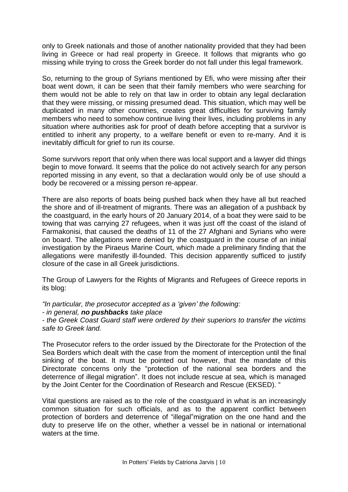only to Greek nationals and those of another nationality provided that they had been living in Greece or had real property in Greece. It follows that migrants who go missing while trying to cross the Greek border do not fall under this legal framework.

So, returning to the group of Syrians mentioned by Efi, who were missing after their boat went down, it can be seen that their family members who were searching for them would not be able to rely on that law in order to obtain any legal declaration that they were missing, or missing presumed dead. This situation, which may well be duplicated in many other countries, creates great difficulties for surviving family members who need to somehow continue living their lives, including problems in any situation where authorities ask for proof of death before accepting that a survivor is entitled to inherit any property, to a welfare benefit or even to re-marry. And it is inevitably difficult for grief to run its course.

Some survivors report that only when there was local support and a lawyer did things begin to move forward. It seems that the police do not actively search for any person reported missing in any event, so that a declaration would only be of use should a body be recovered or a missing person re-appear.

There are also reports of boats being pushed back when they have all but reached the shore and of ill-treatment of migrants. There was an allegation of a pushback by the coastguard, in the early hours of 20 January 2014, of a boat they were said to be towing that was carrying 27 refugees, when it was just off the coast of the island of Farmakonisi, that caused the deaths of 11 of the 27 Afghani and Syrians who were on board. The allegations were denied by the coastguard in the course of an initial investigation by the Piraeus Marine Court, which made a preliminary finding that the allegations were manifestly ill-founded. This decision apparently sufficed to justify closure of the case in all Greek jurisdictions.

The Group of Lawyers for the Rights of Migrants and Refugees of Greece reports in its blog:

*"In particular, the prosecutor accepted as a 'given' the following:*

*- in general, no pushbacks take place*

*- the Greek Coast Guard staff were ordered by their superiors to transfer the victims safe to Greek land.*

The Prosecutor refers to the order issued by the Directorate for the Protection of the Sea Borders which dealt with the case from the moment of interception until the final sinking of the boat. It must be pointed out however, that the mandate of this Directorate concerns only the "protection of the national sea borders and the deterrence of illegal migration". It does not include rescue at sea, which is managed by the Joint Center for the Coordination of Research and Rescue (EKSED). "

Vital questions are raised as to the role of the coastguard in what is an increasingly common situation for such officials, and as to the apparent conflict between protection of borders and deterrence of "illegal"migration on the one hand and the duty to preserve life on the other, whether a vessel be in national or international waters at the time.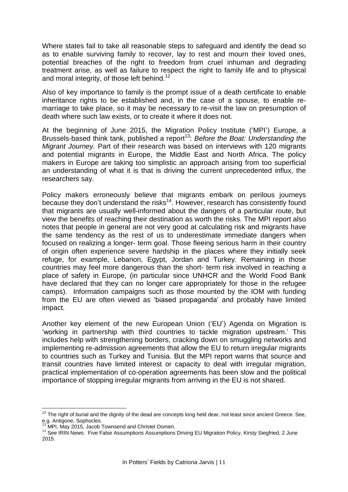Where states fail to take all reasonable steps to safeguard and identify the dead so as to enable surviving family to recover, lay to rest and mourn their loved ones, potential breaches of the right to freedom from cruel inhuman and degrading treatment arise, as well as failure to respect the right to family life and to physical and moral integrity, of those left behind.<sup>12</sup>

Also of key importance to family is the prompt issue of a death certificate to enable inheritance rights to be established and, in the case of a spouse, to enable remarriage to take place, so it may be necessary to re-visit the law on presumption of death where such law exists, or to create it where it does not.

At the beginning of June 2015, the Migration Policy Institute ('MPI') Europe, a Brussels-based think tank, published a report<sup>13</sup>: *Before the Boat: Understanding the Migrant Journey.* Part of their research was based on interviews with 120 migrants and potential migrants in Europe, the Middle East and North Africa. The policy makers in Europe are taking too simplistic an approach arising from too superficial an understanding of what it is that is driving the current unprecedented influx, the researchers say.

Policy makers erroneously believe that migrants embark on perilous journeys because they don't understand the risks<sup>14</sup>. However, research has consistently found that migrants are usually well-informed about the dangers of a particular route, but view the benefits of reaching their destination as worth the risks. The MPI report also notes that people in general are not very good at calculating risk and migrants have the same tendency as the rest of us to underestimate immediate dangers when focused on realizing a longer- term goal. Those fleeing serious harm in their country of origin often experience severe hardship in the places where they initially seek refuge, for example, Lebanon, Egypt, Jordan and Turkey. Remaining in those countries may feel more dangerous than the short- term risk involved in reaching a place of safety in Europe, (in particular since UNHCR and the World Food Bank have declared that they can no longer care appropriately for those in the refugee camps). Information campaigns such as those mounted by the IOM with funding from the EU are often viewed as 'biased propaganda' and probably have limited impact.

Another key element of the new European Union ('EU') Agenda on Migration is 'working in partnership with third countries to tackle migration upstream.' This includes help with strengthening borders, cracking down on smuggling networks and implementing re-admission agreements that allow the EU to return irregular migrants to countries such as Turkey and Tunisia. But the MPI report warns that source and transit countries have limited interest or capacity to deal with irregular migration, practical implementation of co-operation agreements has been slow and the political importance of stopping irregular migrants from arriving in the EU is not shared.

 $\overline{a}$  $12$  The right of burial and the dignity of the dead are concepts long held dear, not least since ancient Greece. See, e.g. Antigone, Sophocles.

<sup>.&</sup>lt;br>MPI, May 2015, Jacob Townsend and Christel Oomen.

<sup>14</sup> See IRIN News: Five False Assumptions Assumptions Driving EU Migration Policy, Kirsty Siegfried, 2 June 2015.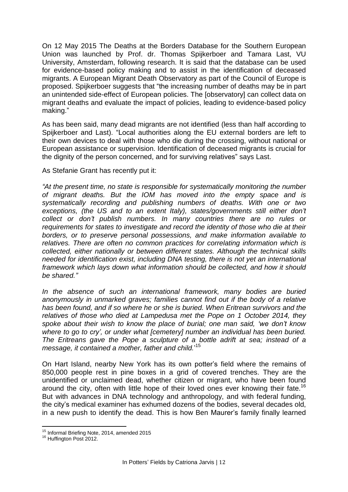On 12 May 2015 The Deaths at the Borders Database for the Southern European Union was launched by Prof. dr. Thomas Spijkerboer and Tamara Last, VU University, Amsterdam, following research. It is said that the database can be used for evidence-based policy making and to assist in the identification of deceased migrants. A European Migrant Death Observatory as part of the Council of Europe is proposed. Spijkerboer suggests that "the increasing number of deaths may be in part an unintended side-effect of European policies. The [observatory] can collect data on migrant deaths and evaluate the impact of policies, leading to evidence-based policy making."

As has been said, many dead migrants are not identified (less than half according to Spijkerboer and Last). "Local authorities along the EU external borders are left to their own devices to deal with those who die during the crossing, without national or European assistance or supervision. Identification of deceased migrants is crucial for the dignity of the person concerned, and for surviving relatives" says Last.

As Stefanie Grant has recently put it:

*"At the present time, no state is responsible for systematically monitoring the number of migrant deaths. But the IOM has moved into the empty space and is systematically recording and publishing numbers of deaths. With one or two exceptions, (the US and to an extent Italy), states/governments still either don't collect or don't publish numbers. In many countries there are no rules or requirements for states to investigate and record the identity of those who die at their borders, or to preserve personal possessions, and make information available to relatives. There are often no common practices for correlating information which is collected, either nationally or between different states. Although the technical skills needed for identification exist, including DNA testing, there is not yet an international framework which lays down what information should be collected, and how it should be shared."*

*In the absence of such an international framework, many bodies are buried anonymously in unmarked graves; families cannot find out if the body of a relative has been found, and if so where he or she is buried. When Eritrean survivors and the relatives of those who died at Lampedusa met the Pope on 1 October 2014, they spoke about their wish to know the place of burial; one man said, 'we don't know where to go to cry', or under what [cemetery] number an individual has been buried. The Eritreans gave the Pope a sculpture of a bottle adrift at sea; instead of a message, it contained a mother, father and child.*' 15

On Hart Island, nearby New York has its own potter's field where the remains of 850,000 people rest in pine boxes in a grid of covered trenches. They are the unidentified or unclaimed dead, whether citizen or migrant, who have been found around the city, often with little hope of their loved ones ever knowing their fate.<sup>16</sup> But with advances in DNA technology and anthropology, and with federal funding, the city's medical examiner has exhumed dozens of the bodies, several decades old, in a new push to identify the dead. This is how Ben Maurer's family finally learned

 $\overline{a}$ <sup>15</sup> Informal Briefing Note, 2014, amended 2015

<sup>16</sup> Huffington Post 2012.